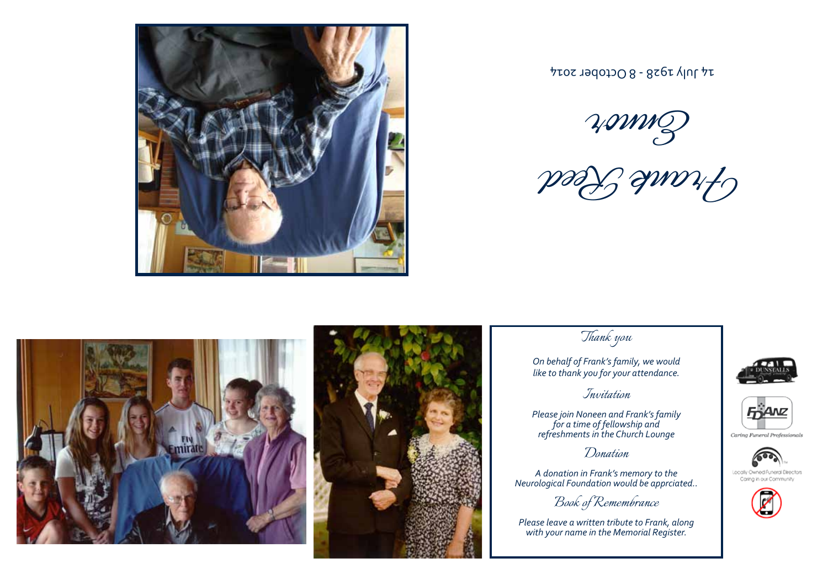

 $14$  סכןסף - 8 October 2014

Ennor

Frank Reed





*Thank you*

*On behalf of Frank's family, we would like to thank you for your attendance.*

## *Invitation*

*Please join Noneen and Frank's family for a time of fellowship and refreshments in the Church Lounge*

*Donation*

*A donation in Frank's memory to the Neurological Foundation would be apprciated..*

*Book of Remembrance*

*Please leave a written tribute to Frank, along with your name in the Memorial Register.*